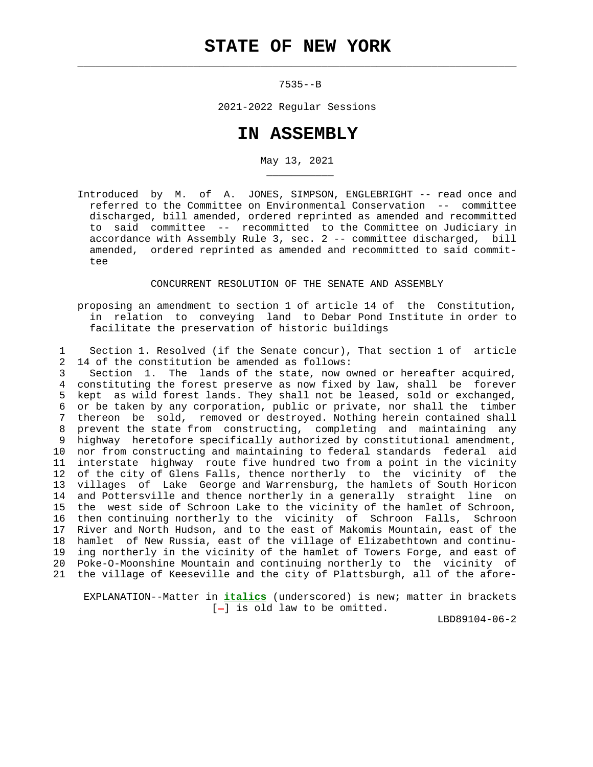## **STATE OF NEW YORK**

 $\mathcal{L}_\text{max} = \frac{1}{2} \sum_{i=1}^{n} \frac{1}{2} \sum_{i=1}^{n} \frac{1}{2} \sum_{i=1}^{n} \frac{1}{2} \sum_{i=1}^{n} \frac{1}{2} \sum_{i=1}^{n} \frac{1}{2} \sum_{i=1}^{n} \frac{1}{2} \sum_{i=1}^{n} \frac{1}{2} \sum_{i=1}^{n} \frac{1}{2} \sum_{i=1}^{n} \frac{1}{2} \sum_{i=1}^{n} \frac{1}{2} \sum_{i=1}^{n} \frac{1}{2} \sum_{i=1}^{n} \frac{1$ 

\_\_\_\_\_\_\_\_\_\_\_

7535--B

2021-2022 Regular Sessions

## **IN ASSEMBLY**

May 13, 2021

 Introduced by M. of A. JONES, SIMPSON, ENGLEBRIGHT -- read once and referred to the Committee on Environmental Conservation -- committee discharged, bill amended, ordered reprinted as amended and recommitted to said committee -- recommitted to the Committee on Judiciary in accordance with Assembly Rule 3, sec. 2 -- committee discharged, bill amended, ordered reprinted as amended and recommitted to said commit tee

CONCURRENT RESOLUTION OF THE SENATE AND ASSEMBLY

 proposing an amendment to section 1 of article 14 of the Constitution, in relation to conveying land to Debar Pond Institute in order to facilitate the preservation of historic buildings

 1 Section 1. Resolved (if the Senate concur), That section 1 of article 2 14 of the constitution be amended as follows:

 3 Section 1. The lands of the state, now owned or hereafter acquired, 4 constituting the forest preserve as now fixed by law, shall be forever 5 kept as wild forest lands. They shall not be leased, sold or exchanged, 6 or be taken by any corporation, public or private, nor shall the timber 7 thereon be sold, removed or destroyed. Nothing herein contained shall 8 prevent the state from constructing, completing and maintaining any 9 highway heretofore specifically authorized by constitutional amendment, 10 nor from constructing and maintaining to federal standards federal aid 11 interstate highway route five hundred two from a point in the vicinity 12 of the city of Glens Falls, thence northerly to the vicinity of the 13 villages of Lake George and Warrensburg, the hamlets of South Horicon 14 and Pottersville and thence northerly in a generally straight line on 15 the west side of Schroon Lake to the vicinity of the hamlet of Schroon, 16 then continuing northerly to the vicinity of Schroon Falls, Schroon 17 River and North Hudson, and to the east of Makomis Mountain, east of the 18 hamlet of New Russia, east of the village of Elizabethtown and continu- 19 ing northerly in the vicinity of the hamlet of Towers Forge, and east of 20 Poke-O-Moonshine Mountain and continuing northerly to the vicinity of 21 the village of Keeseville and the city of Plattsburgh, all of the afore-

 EXPLANATION--Matter in **italics** (underscored) is new; matter in brackets  $[-]$  is old law to be omitted.

LBD89104-06-2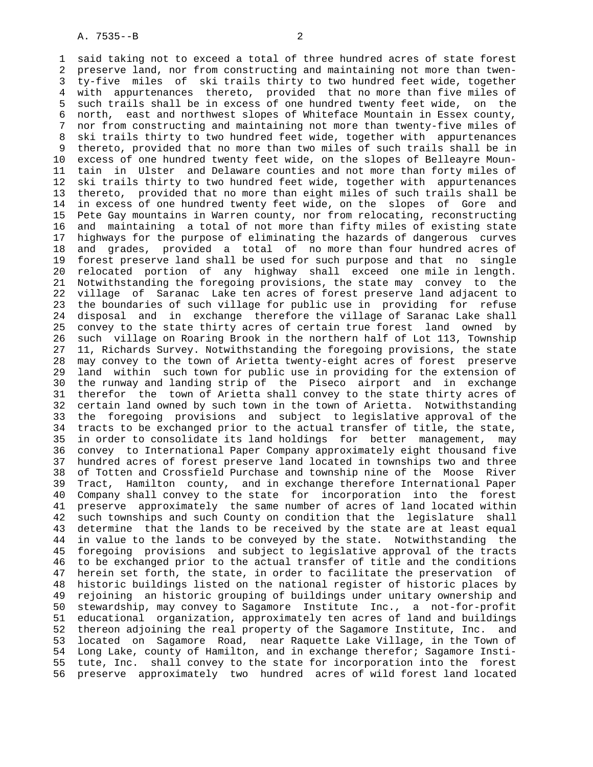1 said taking not to exceed a total of three hundred acres of state forest 2 preserve land, nor from constructing and maintaining not more than twen- 3 ty-five miles of ski trails thirty to two hundred feet wide, together 4 with appurtenances thereto, provided that no more than five miles of 5 such trails shall be in excess of one hundred twenty feet wide, on the 6 north, east and northwest slopes of Whiteface Mountain in Essex county, 7 nor from constructing and maintaining not more than twenty-five miles of 8 ski trails thirty to two hundred feet wide, together with appurtenances 9 thereto, provided that no more than two miles of such trails shall be in 10 excess of one hundred twenty feet wide, on the slopes of Belleayre Moun- 11 tain in Ulster and Delaware counties and not more than forty miles of 12 ski trails thirty to two hundred feet wide, together with appurtenances 13 thereto, provided that no more than eight miles of such trails shall be 14 in excess of one hundred twenty feet wide, on the slopes of Gore and 15 Pete Gay mountains in Warren county, nor from relocating, reconstructing 16 and maintaining a total of not more than fifty miles of existing state 17 highways for the purpose of eliminating the hazards of dangerous curves 18 and grades, provided a total of no more than four hundred acres of 19 forest preserve land shall be used for such purpose and that no single 20 relocated portion of any highway shall exceed one mile in length. 21 Notwithstanding the foregoing provisions, the state may convey to the 22 village of Saranac Lake ten acres of forest preserve land adjacent to 23 the boundaries of such village for public use in providing for refuse 24 disposal and in exchange therefore the village of Saranac Lake shall 25 convey to the state thirty acres of certain true forest land owned by 26 such village on Roaring Brook in the northern half of Lot 113, Township 27 11, Richards Survey. Notwithstanding the foregoing provisions, the state 28 may convey to the town of Arietta twenty-eight acres of forest preserve 29 land within such town for public use in providing for the extension of 30 the runway and landing strip of the Piseco airport and in exchange 31 therefor the town of Arietta shall convey to the state thirty acres of 32 certain land owned by such town in the town of Arietta. Notwithstanding 33 the foregoing provisions and subject to legislative approval of the 34 tracts to be exchanged prior to the actual transfer of title, the state, 35 in order to consolidate its land holdings for better management, may 36 convey to International Paper Company approximately eight thousand five 37 hundred acres of forest preserve land located in townships two and three 38 of Totten and Crossfield Purchase and township nine of the Moose River 39 Tract, Hamilton county, and in exchange therefore International Paper 40 Company shall convey to the state for incorporation into the forest 41 preserve approximately the same number of acres of land located within 42 such townships and such County on condition that the legislature shall 43 determine that the lands to be received by the state are at least equal 44 in value to the lands to be conveyed by the state. Notwithstanding the 45 foregoing provisions and subject to legislative approval of the tracts 46 to be exchanged prior to the actual transfer of title and the conditions 47 herein set forth, the state, in order to facilitate the preservation of 48 historic buildings listed on the national register of historic places by 49 rejoining an historic grouping of buildings under unitary ownership and 50 stewardship, may convey to Sagamore Institute Inc., a not-for-profit 51 educational organization, approximately ten acres of land and buildings 52 thereon adjoining the real property of the Sagamore Institute, Inc. and 53 located on Sagamore Road, near Raquette Lake Village, in the Town of 54 Long Lake, county of Hamilton, and in exchange therefor; Sagamore Insti- 55 tute, Inc. shall convey to the state for incorporation into the forest 56 preserve approximately two hundred acres of wild forest land located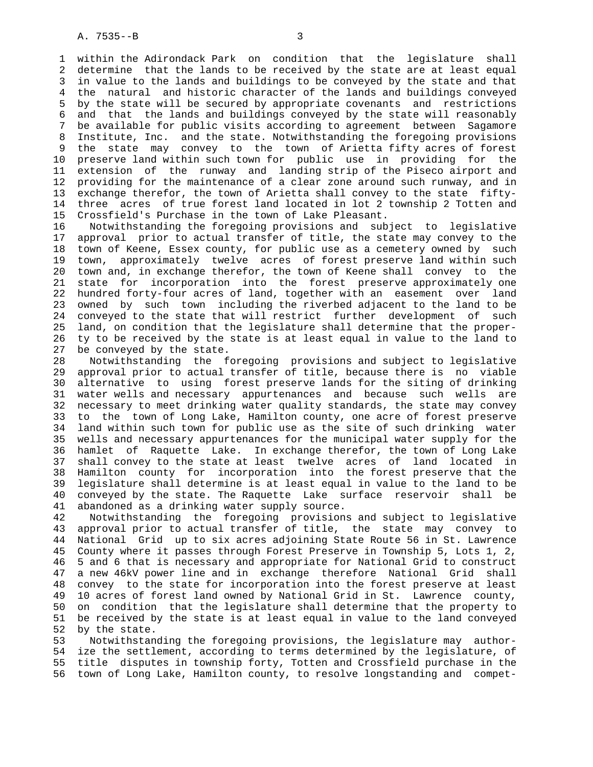1 within the Adirondack Park on condition that the legislature shall 2 determine that the lands to be received by the state are at least equal 3 in value to the lands and buildings to be conveyed by the state and that 4 the natural and historic character of the lands and buildings conveyed 5 by the state will be secured by appropriate covenants and restrictions 6 and that the lands and buildings conveyed by the state will reasonably 7 be available for public visits according to agreement between Sagamore 8 Institute, Inc. and the state. Notwithstanding the foregoing provisions 9 the state may convey to the town of Arietta fifty acres of forest<br>10 preserve land within such town for public use in providing for the preserve land within such town for public use in providing for the 11 extension of the runway and landing strip of the Piseco airport and 12 providing for the maintenance of a clear zone around such runway, and in 13 exchange therefor, the town of Arietta shall convey to the state fifty- 14 three acres of true forest land located in lot 2 township 2 Totten and 15 Crossfield's Purchase in the town of Lake Pleasant.

 16 Notwithstanding the foregoing provisions and subject to legislative 17 approval prior to actual transfer of title, the state may convey to the 18 town of Keene, Essex county, for public use as a cemetery owned by such 19 town, approximately twelve acres of forest preserve land within such 20 town and, in exchange therefor, the town of Keene shall convey to the 21 state for incorporation into the forest preserve approximately one 22 hundred forty-four acres of land, together with an easement over land 23 owned by such town including the riverbed adjacent to the land to be 24 conveyed to the state that will restrict further development of such 25 land, on condition that the legislature shall determine that the proper- 26 ty to be received by the state is at least equal in value to the land to 27 be conveyed by the state.

 28 Notwithstanding the foregoing provisions and subject to legislative 29 approval prior to actual transfer of title, because there is no viable 30 alternative to using forest preserve lands for the siting of drinking 31 water wells and necessary appurtenances and because such wells are 32 necessary to meet drinking water quality standards, the state may convey 33 to the town of Long Lake, Hamilton county, one acre of forest preserve 34 land within such town for public use as the site of such drinking water 35 wells and necessary appurtenances for the municipal water supply for the 36 hamlet of Raquette Lake. In exchange therefor, the town of Long Lake 37 shall convey to the state at least twelve acres of land located in 38 Hamilton county for incorporation into the forest preserve that the 39 legislature shall determine is at least equal in value to the land to be 40 conveyed by the state. The Raquette Lake surface reservoir shall be 41 abandoned as a drinking water supply source.

 42 Notwithstanding the foregoing provisions and subject to legislative 43 approval prior to actual transfer of title, the state may convey to 44 National Grid up to six acres adjoining State Route 56 in St. Lawrence 45 County where it passes through Forest Preserve in Township 5, Lots 1, 2, 46 5 and 6 that is necessary and appropriate for National Grid to construct 47 a new 46kV power line and in exchange therefore National Grid shall 48 convey to the state for incorporation into the forest preserve at least 49 10 acres of forest land owned by National Grid in St. Lawrence county, 50 on condition that the legislature shall determine that the property to 51 be received by the state is at least equal in value to the land conveyed 52 by the state.

 53 Notwithstanding the foregoing provisions, the legislature may author- 54 ize the settlement, according to terms determined by the legislature, of 55 title disputes in township forty, Totten and Crossfield purchase in the 56 town of Long Lake, Hamilton county, to resolve longstanding and compet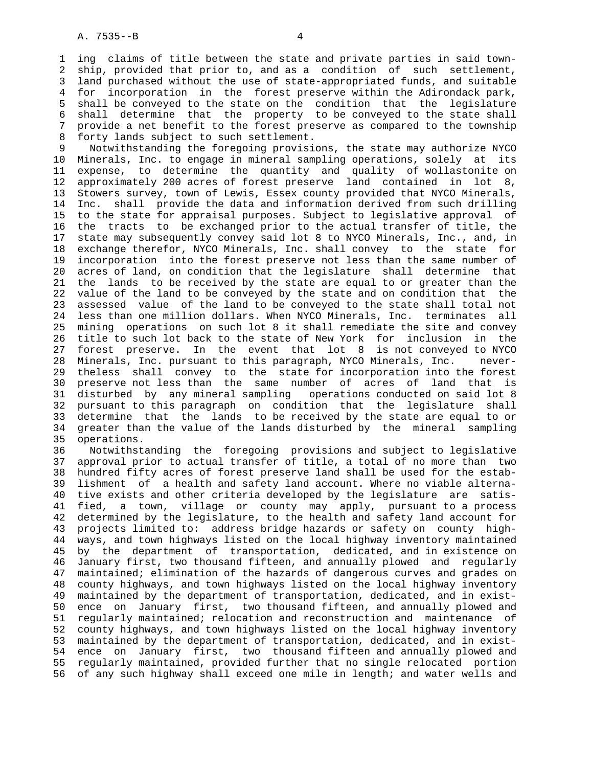1 ing claims of title between the state and private parties in said town- 2 ship, provided that prior to, and as a condition of such settlement, 3 land purchased without the use of state-appropriated funds, and suitable 4 for incorporation in the forest preserve within the Adirondack park, 5 shall be conveyed to the state on the condition that the legislature 6 shall determine that the property to be conveyed to the state shall 7 provide a net benefit to the forest preserve as compared to the township 8 forty lands subject to such settlement.

 9 Notwithstanding the foregoing provisions, the state may authorize NYCO 10 Minerals, Inc. to engage in mineral sampling operations, solely at its 11 expense, to determine the quantity and quality of wollastonite on 12 approximately 200 acres of forest preserve land contained in lot 8, 13 Stowers survey, town of Lewis, Essex county provided that NYCO Minerals, 14 Inc. shall provide the data and information derived from such drilling 15 to the state for appraisal purposes. Subject to legislative approval of 16 the tracts to be exchanged prior to the actual transfer of title, the 17 state may subsequently convey said lot 8 to NYCO Minerals, Inc., and, in 18 exchange therefor, NYCO Minerals, Inc. shall convey to the state for 19 incorporation into the forest preserve not less than the same number of 20 acres of land, on condition that the legislature shall determine that 21 the lands to be received by the state are equal to or greater than the 22 value of the land to be conveyed by the state and on condition that the 23 assessed value of the land to be conveyed to the state shall total not 24 less than one million dollars. When NYCO Minerals, Inc. terminates all 25 mining operations on such lot 8 it shall remediate the site and convey 26 title to such lot back to the state of New York for inclusion in the 27 forest preserve. In the event that lot 8 is not conveyed to NYCO 28 Minerals, Inc. pursuant to this paragraph, NYCO Minerals, Inc. never- 29 theless shall convey to the state for incorporation into the forest 30 preserve not less than the same number of acres of land that is 31 disturbed by any mineral sampling operations conducted on said lot 8 32 pursuant to this paragraph on condition that the legislature shall 33 determine that the lands to be received by the state are equal to or 34 greater than the value of the lands disturbed by the mineral sampling 35 operations.

 36 Notwithstanding the foregoing provisions and subject to legislative 37 approval prior to actual transfer of title, a total of no more than two 38 hundred fifty acres of forest preserve land shall be used for the estab- 39 lishment of a health and safety land account. Where no viable alterna- 40 tive exists and other criteria developed by the legislature are satis- 41 fied, a town, village or county may apply, pursuant to a process 42 determined by the legislature, to the health and safety land account for 43 projects limited to: address bridge hazards or safety on county high- 44 ways, and town highways listed on the local highway inventory maintained 45 by the department of transportation, dedicated, and in existence on 46 January first, two thousand fifteen, and annually plowed and regularly 47 maintained; elimination of the hazards of dangerous curves and grades on 48 county highways, and town highways listed on the local highway inventory 49 maintained by the department of transportation, dedicated, and in exist- 50 ence on January first, two thousand fifteen, and annually plowed and 51 regularly maintained; relocation and reconstruction and maintenance of 52 county highways, and town highways listed on the local highway inventory 53 maintained by the department of transportation, dedicated, and in exist- 54 ence on January first, two thousand fifteen and annually plowed and 55 regularly maintained, provided further that no single relocated portion 56 of any such highway shall exceed one mile in length; and water wells and